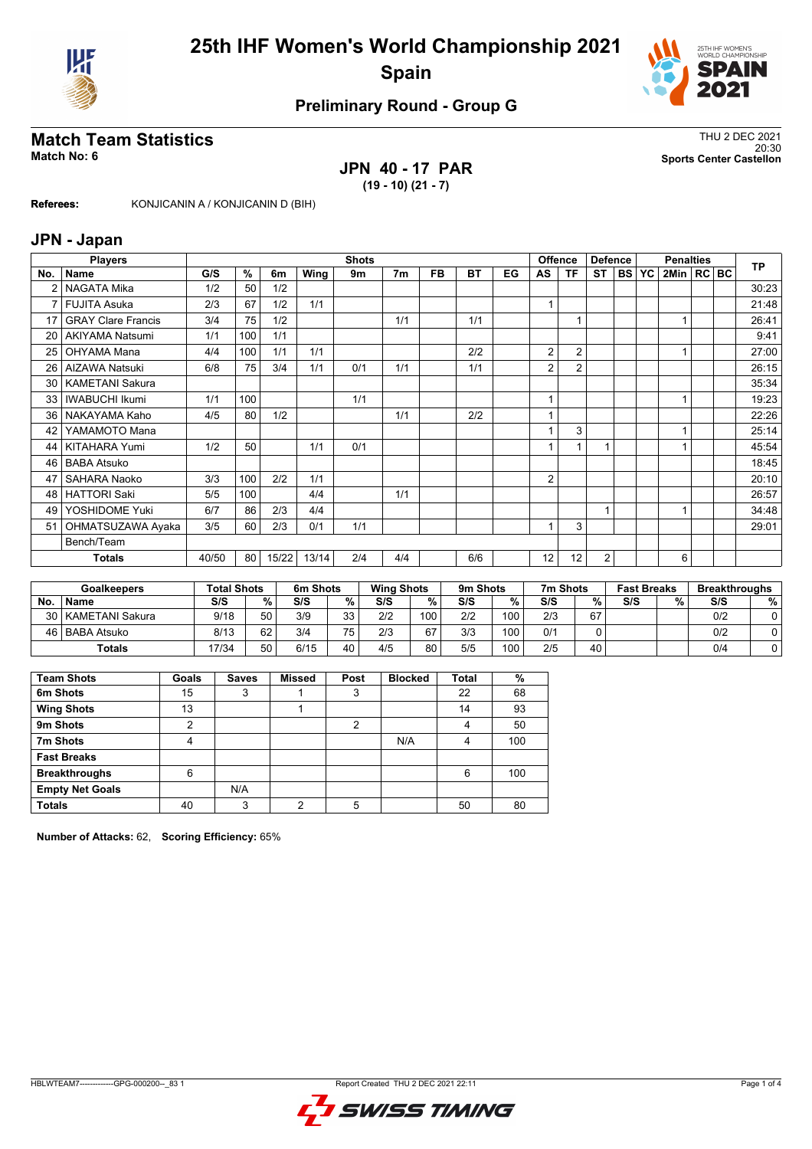



### **Preliminary Round - Group G**

#### **Match Team Statistics** Thus and the statistics of the statistics of the statistics of the statistics of the statistics of the statistics of the statistics of the statistics of the statistics of the statistics of the stati 20:30 **Match No: 6 Sports Center Castellon**

# **JPN 40 - 17 PAR**

**(19 - 10) (21 - 7)**

**Referees:** KONJICANIN A / KONJICANIN D (BIH)

#### **JPN - Japan**

|                 | <b>Players</b>            |       | <b>Shots</b> |       |       |     |                |           |     |    | <b>Offence</b><br><b>Defence</b> |                   |                |           | <b>TP</b> |                |  |       |
|-----------------|---------------------------|-------|--------------|-------|-------|-----|----------------|-----------|-----|----|----------------------------------|-------------------|----------------|-----------|-----------|----------------|--|-------|
| No.             | <b>Name</b>               | G/S   | %            | 6m    | Wing  | 9m  | 7 <sub>m</sub> | <b>FB</b> | BT  | EG | AS                               | ΤF                | <b>ST</b>      | <b>BS</b> | <b>YC</b> | 2Min   RC   BC |  |       |
|                 | NAGATA Mika               | 1/2   | 50           | 1/2   |       |     |                |           |     |    |                                  |                   |                |           |           |                |  | 30:23 |
| $\overline{7}$  | <b>FUJITA Asuka</b>       | 2/3   | 67           | 1/2   | 1/1   |     |                |           |     |    |                                  |                   |                |           |           |                |  | 21:48 |
| 17              | <b>GRAY Clare Francis</b> | 3/4   | 75           | 1/2   |       |     | 1/1            |           | 1/1 |    |                                  |                   |                |           |           |                |  | 26:41 |
| 20              | <b>AKIYAMA Natsumi</b>    | 1/1   | 100          | 1/1   |       |     |                |           |     |    |                                  |                   |                |           |           |                |  | 9:41  |
| 25              | OHYAMA Mana               | 4/4   | 100          | 1/1   | 1/1   |     |                |           | 2/2 |    | 2                                | $\overline{2}$    |                |           |           |                |  | 27:00 |
| 26              | AIZAWA Natsuki            | 6/8   | 75           | 3/4   | 1/1   | 0/1 | 1/1            |           | 1/1 |    | 2                                | $\overline{2}$    |                |           |           |                |  | 26:15 |
| 30 <sub>1</sub> | <b>KAMETANI Sakura</b>    |       |              |       |       |     |                |           |     |    |                                  |                   |                |           |           |                |  | 35:34 |
| 33              | <b>IWABUCHI Ikumi</b>     | 1/1   | 100          |       |       | 1/1 |                |           |     |    | $\overline{\mathbf{A}}$          |                   |                |           |           |                |  | 19:23 |
| 36              | NAKAYAMA Kaho             | 4/5   | 80           | 1/2   |       |     | 1/1            |           | 2/2 |    |                                  |                   |                |           |           |                |  | 22:26 |
| 42              | YAMAMOTO Mana             |       |              |       |       |     |                |           |     |    |                                  | 3                 |                |           |           |                |  | 25:14 |
| 44              | KITAHARA Yumi             | 1/2   | 50           |       | 1/1   | 0/1 |                |           |     |    |                                  |                   |                |           |           |                |  | 45:54 |
| 46              | <b>BABA Atsuko</b>        |       |              |       |       |     |                |           |     |    |                                  |                   |                |           |           |                |  | 18:45 |
| 47              | SAHARA Naoko              | 3/3   | 100          | 2/2   | 1/1   |     |                |           |     |    | 2                                |                   |                |           |           |                |  | 20:10 |
| 48              | <b>HATTORI Saki</b>       | 5/5   | 100          |       | 4/4   |     | 1/1            |           |     |    |                                  |                   |                |           |           |                |  | 26:57 |
| 49              | YOSHIDOME Yuki            | 6/7   | 86           | 2/3   | 4/4   |     |                |           |     |    |                                  |                   | 1              |           |           |                |  | 34:48 |
| 51              | OHMATSUZAWA Ayaka         | 3/5   | 60           | 2/3   | 0/1   | 1/1 |                |           |     |    |                                  | 3                 |                |           |           |                |  | 29:01 |
|                 | Bench/Team                |       |              |       |       |     |                |           |     |    |                                  |                   |                |           |           |                |  |       |
|                 | <b>Totals</b>             | 40/50 | 80           | 15/22 | 13/14 | 2/4 | 4/4            |           | 6/6 |    | 12                               | $12 \overline{ }$ | $\overline{2}$ |           |           | 6              |  |       |

|    | <b>Goalkeepers</b>   |       | <b>Total Shots</b> | 6m Shots |          | <b>Wing Shots</b> |     | 9m Shots |     | 7m Shots |    | <b>Fast Breaks</b> |   | <b>Breakthroughs</b> |   |
|----|----------------------|-------|--------------------|----------|----------|-------------------|-----|----------|-----|----------|----|--------------------|---|----------------------|---|
| No | <b>Name</b>          | S/S   | %                  | S/S      | %        | S/S               | %   | S/S      | %   | S/S      | %  | S/S                | % | S/S                  | % |
|    | 30   KAMETANI Sakura | 9/18  | 50                 | 3/9      | っっ<br>υu | 2/2               | 100 | 2/2      | 100 | 2/3      | 67 |                    |   | 0/2                  |   |
|    | 46   BABA Atsuko     | 8/13  | 62                 | 3/4      | 75       | 2/3               | 67  | 3/3      | 100 | 0/1      |    |                    |   | 0/2                  |   |
|    | <b>Totals</b>        | 17/34 | 50                 | 6/15     | 40       | 4/5               | 80  | 5/5      | 100 | 2/5      | 40 |                    |   | 0/4                  |   |

| <b>Team Shots</b>      | Goals | <b>Saves</b> | <b>Missed</b> | Post | <b>Blocked</b> | Total | %   |
|------------------------|-------|--------------|---------------|------|----------------|-------|-----|
| 6m Shots               | 15    | 3            |               | 3    |                | 22    | 68  |
| <b>Wing Shots</b>      | 13    |              |               |      |                | 14    | 93  |
| 9m Shots               | 2     |              |               | 2    |                | 4     | 50  |
| 7m Shots               | 4     |              |               |      | N/A            | 4     | 100 |
| <b>Fast Breaks</b>     |       |              |               |      |                |       |     |
| <b>Breakthroughs</b>   | 6     |              |               |      |                | 6     | 100 |
| <b>Empty Net Goals</b> |       | N/A          |               |      |                |       |     |
| <b>Totals</b>          | 40    | 3            | c             | 5    |                | 50    | 80  |

**Number of Attacks:** 62, **Scoring Efficiency:** 65%

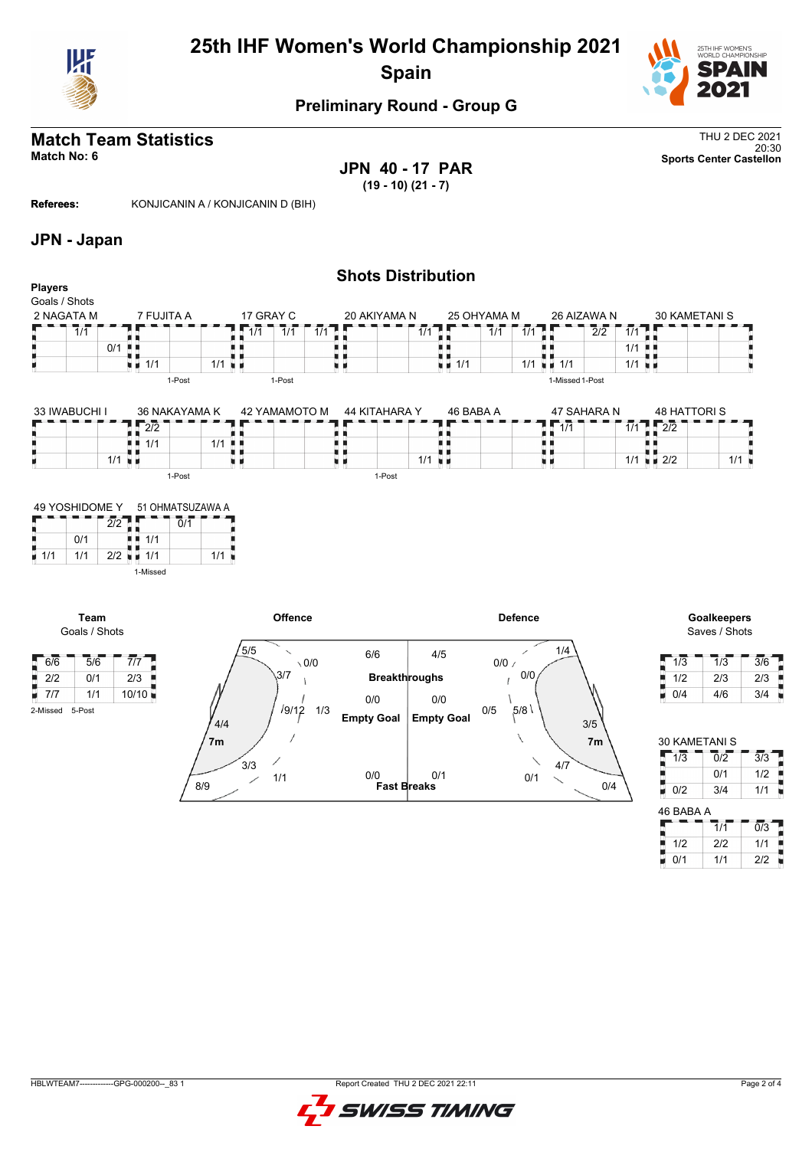

# **25th IHF Women's World Championship 2021 Spain**



### **Preliminary Round - Group G**

# **Match Team Statistics** Thu 2 DEC 2021

**JPN 40 - 17 PAR (19 - 10) (21 - 7)**

20:30 **Match No: 6 Sports Center Castellon**

**Referees:** KONJICANIN A / KONJICANIN D (BIH)

#### **JPN - Japan**

| $\overline{1/1}$ |                                 |                                                       |                                                                               |                                | $\overline{1/1}$                  | $\overline{1}/\overline{1}$                                    |           |                          |                         | $\overline{1/1}$ |                                            | 1/1                                                                                | 1/1       |                               | $\overline{2}/\overline{2}$ | 1/1             |                            |                                                          |                                            |
|------------------|---------------------------------|-------------------------------------------------------|-------------------------------------------------------------------------------|--------------------------------|-----------------------------------|----------------------------------------------------------------|-----------|--------------------------|-------------------------|------------------|--------------------------------------------|------------------------------------------------------------------------------------|-----------|-------------------------------|-----------------------------|-----------------|----------------------------|----------------------------------------------------------|--------------------------------------------|
|                  | 0/1                             |                                                       |                                                                               |                                |                                   |                                                                |           |                          |                         |                  |                                            |                                                                                    |           |                               |                             | 1/1             |                            |                                                          |                                            |
|                  |                                 |                                                       |                                                                               |                                |                                   |                                                                |           |                          |                         |                  |                                            |                                                                                    | 1/1       |                               |                             | 1/1             |                            |                                                          |                                            |
|                  |                                 |                                                       |                                                                               |                                |                                   | 1-Post                                                         |           |                          |                         |                  |                                            |                                                                                    |           |                               |                             |                 |                            |                                                          |                                            |
|                  |                                 |                                                       |                                                                               |                                |                                   |                                                                |           |                          |                         |                  |                                            |                                                                                    |           |                               |                             |                 |                            |                                                          |                                            |
|                  |                                 |                                                       |                                                                               |                                |                                   |                                                                |           |                          |                         |                  |                                            |                                                                                    |           |                               |                             |                 |                            |                                                          |                                            |
|                  |                                 | $\overline{2/2}$                                      |                                                                               |                                |                                   |                                                                |           |                          |                         |                  |                                            |                                                                                    |           | 1/1                           |                             |                 |                            |                                                          |                                            |
|                  |                                 | 1/1                                                   |                                                                               |                                |                                   |                                                                |           |                          |                         |                  |                                            |                                                                                    |           |                               |                             |                 |                            |                                                          |                                            |
|                  |                                 |                                                       |                                                                               |                                |                                   |                                                                |           |                          |                         |                  |                                            |                                                                                    |           |                               |                             |                 |                            |                                                          | $1/1$ $\blacksquare$                       |
|                  |                                 |                                                       |                                                                               |                                |                                   |                                                                |           |                          |                         |                  |                                            |                                                                                    |           |                               |                             |                 |                            |                                                          |                                            |
|                  |                                 |                                                       |                                                                               |                                |                                   |                                                                |           |                          |                         |                  |                                            |                                                                                    |           |                               |                             |                 |                            |                                                          |                                            |
|                  |                                 |                                                       |                                                                               |                                |                                   |                                                                |           |                          |                         |                  |                                            |                                                                                    |           |                               |                             |                 |                            |                                                          |                                            |
|                  |                                 |                                                       | 0/1                                                                           |                                |                                   |                                                                |           |                          |                         |                  |                                            |                                                                                    |           |                               |                             |                 |                            |                                                          |                                            |
| 0/1              |                                 | 1/1                                                   |                                                                               |                                |                                   |                                                                |           |                          |                         |                  |                                            |                                                                                    |           |                               |                             |                 |                            |                                                          |                                            |
| 1/1              |                                 |                                                       |                                                                               |                                |                                   |                                                                |           |                          |                         |                  |                                            |                                                                                    |           |                               |                             |                 |                            |                                                          |                                            |
|                  |                                 | 1-Missed                                              |                                                                               |                                |                                   |                                                                |           |                          |                         |                  |                                            |                                                                                    |           |                               |                             |                 |                            |                                                          |                                            |
|                  |                                 |                                                       |                                                                               |                                |                                   |                                                                |           |                          |                         |                  |                                            |                                                                                    |           |                               |                             |                 |                            |                                                          |                                            |
|                  |                                 |                                                       |                                                                               |                                |                                   |                                                                |           |                          |                         |                  |                                            |                                                                                    |           |                               |                             |                 |                            |                                                          | <b>Goalkeepers</b>                         |
|                  | <b>Players</b><br>Goals / Shots | 2 NAGATA M<br>33 IWABUCHI I<br>49 YOSHIDOME Y<br>Team | . .<br>$\blacksquare$ 1/1<br>$1/1$ u $\mu$<br>2/2<br>$2/2$ $\blacksquare$ 1/1 | 7 FUJITA A<br>1-Post<br>1-Post | 36 NAKAYAMA K<br>51 OHMATSUZAWA A | п.<br>$1/1$ $\blacksquare$<br>$1/1$ $\blacksquare$<br>ш<br>1/1 | 17 GRAY C | 42 YAMAMOTO M<br>Offence | $\overline{1/1}$<br>и и | 1-Post           | 20 AKIYAMA N<br>H.<br>u n<br>44 KITAHARA Y | <b>Shots Distribution</b><br>. .<br>$\blacksquare$ $\blacksquare$ 1/1<br>$1/1$ u m | 46 BABA A | 25 OHYAMA M<br><b>Defence</b> | $\blacksquare$ 1/1<br>風 国   | 1-Missed 1-Post | 26 AIZAWA N<br>47 SAHARA N | . U U<br>$\sqrt{2/2}$<br>1/1<br>$1/1$ $\blacksquare$ 2/2 | <b>30 KAMETANI S</b><br><b>48 HATTORIS</b> |

Goals / Shots

I

6/6 5/6 7/7  $\frac{2}{2}$  2/2 0/1 2/3<br> $\frac{2}{3}$  7/7 1/1 10/10 H  $\overline{7/7}$  1/1 10/10 2-Missed 5-Post



Saves / Shots

| 1/3 | 1/3 | 3/6 |
|-----|-----|-----|
| 1/2 | 2/3 | 2/3 |
| 0/4 | 4/6 | 3/4 |

| <b>30 KAMETANI S</b> |     |     |
|----------------------|-----|-----|
| 1/3                  | 0/2 | 3/3 |
|                      | 0/1 | 1/2 |
| 0/2                  | 3/4 | 1/1 |
| 46 BABA A            |     |     |
|                      |     |     |

|     | 1/1 | 0/3 |
|-----|-----|-----|
| 1/2 | 2/2 | 1/1 |
| N/1 | 1/1 | 212 |

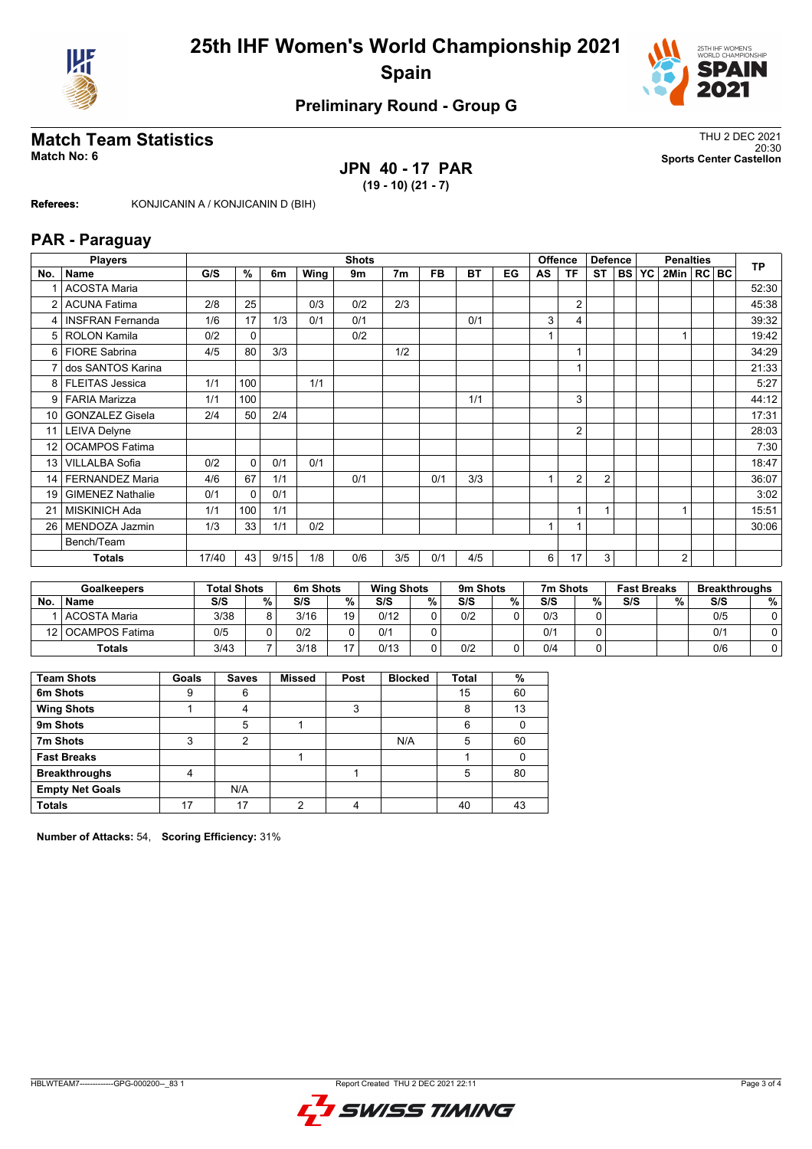



### **Preliminary Round - Group G**

#### **Match Team Statistics** Thus and the statistics of the statistics of the statistics of the statistics of the statistics of the statistics of the statistics of the statistics of the statistics of the statistics of the stati 20:30 **Match No: 6 Sports Center Castellon**

# **JPN 40 - 17 PAR**

**(19 - 10) (21 - 7)**

**Referees:** KONJICANIN A / KONJICANIN D (BIH)

#### **PAR - Paraguay**

|                 | <b>Players</b>          |       | <b>Shots</b> |      |      |     |                |           |           | <b>Offence</b><br><b>Defence</b> |    |                | <b>Penalties</b> |              |  |              | <b>TP</b> |  |       |
|-----------------|-------------------------|-------|--------------|------|------|-----|----------------|-----------|-----------|----------------------------------|----|----------------|------------------|--------------|--|--------------|-----------|--|-------|
| No.             | <b>Name</b>             | G/S   | %            | 6m   | Wing | 9m  | 7 <sub>m</sub> | <b>FB</b> | <b>BT</b> | EG                               | AS | ΤF             | <b>ST</b>        | <b>BS YC</b> |  | 2Min   RC BC |           |  |       |
|                 | <b>ACOSTA Maria</b>     |       |              |      |      |     |                |           |           |                                  |    |                |                  |              |  |              |           |  | 52:30 |
| 2               | <b>ACUNA Fatima</b>     | 2/8   | 25           |      | 0/3  | 0/2 | 2/3            |           |           |                                  |    | $\overline{2}$ |                  |              |  |              |           |  | 45:38 |
| 4               | <b>INSFRAN Fernanda</b> | 1/6   | 17           | 1/3  | 0/1  | 0/1 |                |           | 0/1       |                                  | 3  | 4              |                  |              |  |              |           |  | 39:32 |
| 5               | <b>ROLON Kamila</b>     | 0/2   | 0            |      |      | 0/2 |                |           |           |                                  |    |                |                  |              |  |              |           |  | 19:42 |
| 6               | <b>FIORE Sabrina</b>    | 4/5   | 80           | 3/3  |      |     | 1/2            |           |           |                                  |    |                |                  |              |  |              |           |  | 34:29 |
|                 | dos SANTOS Karina       |       |              |      |      |     |                |           |           |                                  |    |                |                  |              |  |              |           |  | 21:33 |
| 8               | <b>FLEITAS Jessica</b>  | 1/1   | 100          |      | 1/1  |     |                |           |           |                                  |    |                |                  |              |  |              |           |  | 5:27  |
| 9               | <b>FARIA Marizza</b>    | 1/1   | 100          |      |      |     |                |           | 1/1       |                                  |    | 3              |                  |              |  |              |           |  | 44:12 |
| 10              | <b>GONZALEZ Gisela</b>  | 2/4   | 50           | 2/4  |      |     |                |           |           |                                  |    |                |                  |              |  |              |           |  | 17:31 |
| 11 <sup>1</sup> | <b>LEIVA Delyne</b>     |       |              |      |      |     |                |           |           |                                  |    | $\overline{2}$ |                  |              |  |              |           |  | 28:03 |
| 12              | <b>OCAMPOS Fatima</b>   |       |              |      |      |     |                |           |           |                                  |    |                |                  |              |  |              |           |  | 7:30  |
| 13 <sup>1</sup> | <b>VILLALBA Sofia</b>   | 0/2   | $\Omega$     | 0/1  | 0/1  |     |                |           |           |                                  |    |                |                  |              |  |              |           |  | 18:47 |
| 14              | <b>FERNANDEZ Maria</b>  | 4/6   | 67           | 1/1  |      | 0/1 |                | 0/1       | 3/3       |                                  |    | $\overline{2}$ | $\overline{2}$   |              |  |              |           |  | 36:07 |
| 19              | <b>GIMENEZ Nathalie</b> | 0/1   | $\Omega$     | 0/1  |      |     |                |           |           |                                  |    |                |                  |              |  |              |           |  | 3:02  |
|                 | <b>MISKINICH Ada</b>    | 1/1   | 100          | 1/1  |      |     |                |           |           |                                  |    |                | Ŀ,               |              |  |              |           |  | 15:51 |
| 26              | MENDOZA Jazmin          | 1/3   | 33           | 1/1  | 0/2  |     |                |           |           |                                  |    |                |                  |              |  |              |           |  | 30:06 |
|                 | Bench/Team              |       |              |      |      |     |                |           |           |                                  |    |                |                  |              |  |              |           |  |       |
|                 | <b>Totals</b>           | 17/40 | 43           | 9/15 | 1/8  | 0/6 | 3/5            | 0/1       | 4/5       |                                  | 6  | 17             | 3                |              |  | 2            |           |  |       |

|    | <b>Goalkeepers</b>  |      | <b>Total Shots</b> |      | 6m Shots       |      | <b>Wing Shots</b> |     | 9m Shots |     | 7m Shots |     | <b>Fast Breaks</b> |     | <b>Breakthroughs</b> |
|----|---------------------|------|--------------------|------|----------------|------|-------------------|-----|----------|-----|----------|-----|--------------------|-----|----------------------|
| No | <b>Name</b>         | S/S  | $\%$ .             | S/S  | %              | S/S  | %                 | S/S | ℅        | S/S | %        | S/S | %                  | S/S | %                    |
|    | l ACOSTA Maria      | 3/38 | 8                  | 3/16 | 19             | 0/12 |                   | 0/2 |          | 0/3 |          |     |                    | 0/5 |                      |
|    | 12   OCAMPOS Fatima | 0/5  |                    | 0/2  |                | 0/1  |                   |     |          | 0/1 |          |     |                    | 0/1 |                      |
|    | <b>Totals</b>       | 3/43 |                    | 3/18 | $\overline{ }$ | 0/13 |                   | 0/2 |          | 0/4 |          |     |                    | 0/6 |                      |

| <b>Team Shots</b>      | Goals | <b>Saves</b> | <b>Missed</b> | Post | <b>Blocked</b> | <b>Total</b> | %  |
|------------------------|-------|--------------|---------------|------|----------------|--------------|----|
| 6m Shots               | 9     | 6            |               |      |                | 15           | 60 |
| <b>Wing Shots</b>      |       | 4            |               | 3    |                | 8            | 13 |
| 9m Shots               |       | 5            |               |      |                | 6            |    |
| 7m Shots               | 3     | 2            |               |      | N/A            | 5            | 60 |
| <b>Fast Breaks</b>     |       |              |               |      |                |              |    |
| <b>Breakthroughs</b>   | 4     |              |               |      |                | 5            | 80 |
| <b>Empty Net Goals</b> |       | N/A          |               |      |                |              |    |
| <b>Totals</b>          | 17    | 17           | ◠             | 4    |                | 40           | 43 |

**Number of Attacks:** 54, **Scoring Efficiency:** 31%